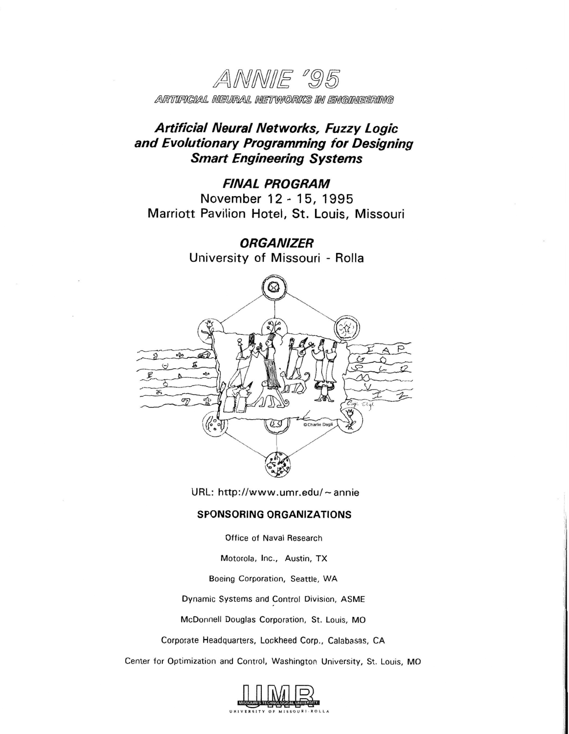ANNIE '95 ARTIFICIAL NEURAL NETWORKS IN ENGINEERING

# **Artificial Neural Net works, Fuzzy Logic and Evolutionary Programming for Designing Smart Engineering Systems**

## **FINAL PROGRAM**

November 12 - 15, 1995 Marriott Pavilion Hotel, St. Louis, Missouri

> **ORGANIZER**  University **of** Missouri - Rolla



URL: http://www.umr.edu/~annie

## **SPONSORING ORGANIZATIONS**

Office of Naval Research

Motorola, Inc., Austin, TX

Boeing Corporation, Seattle, WA

Dynamic Systems and Control Division, ASME

McDonnell Douglas Corporation, St. Louis, MO

Corporate Headquarters, Lockheed Corp., Calabasas, CA

Center for Optimization and Control, Washington University, St. Louis, MO